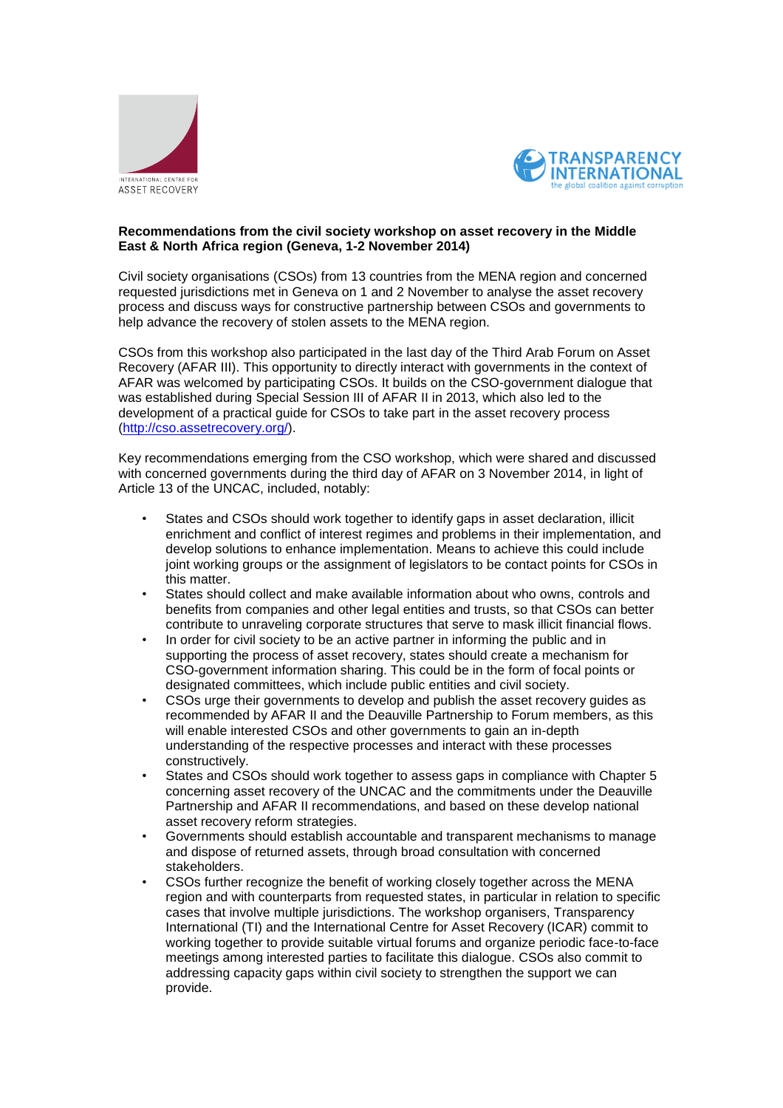



## **Recommendations from the civil society workshop on asset recovery in the Middle East & North Africa region (Geneva, 1-2 November 2014)**

Civil society organisations (CSOs) from 13 countries from the MENA region and concerned requested jurisdictions met in Geneva on 1 and 2 November to analyse the asset recovery process and discuss ways for constructive partnership between CSOs and governments to help advance the recovery of stolen assets to the MENA region.

CSOs from this workshop also participated in the last day of the Third Arab Forum on Asset Recovery (AFAR III). This opportunity to directly interact with governments in the context of AFAR was welcomed by participating CSOs. It builds on the CSO-government dialogue that was established during Special Session III of AFAR II in 2013, which also led to the development of a practical guide for CSOs to take part in the asset recovery process [\(http://cso.assetrecovery.org/\)](http://cso.assetrecovery.org/).

Key recommendations emerging from the CSO workshop, which were shared and discussed with concerned governments during the third day of AFAR on 3 November 2014, in light of Article 13 of the UNCAC, included, notably:

- States and CSOs should work together to identify gaps in asset declaration, illicit enrichment and conflict of interest regimes and problems in their implementation, and develop solutions to enhance implementation. Means to achieve this could include joint working groups or the assignment of legislators to be contact points for CSOs in this matter.
- States should collect and make available information about who owns, controls and benefits from companies and other legal entities and trusts, so that CSOs can better contribute to unraveling corporate structures that serve to mask illicit financial flows.
- In order for civil society to be an active partner in informing the public and in supporting the process of asset recovery, states should create a mechanism for CSO-government information sharing. This could be in the form of focal points or designated committees, which include public entities and civil society.
- CSOs urge their governments to develop and publish the asset recovery guides as recommended by AFAR II and the Deauville Partnership to Forum members, as this will enable interested CSOs and other governments to gain an in-depth understanding of the respective processes and interact with these processes constructively.
- States and CSOs should work together to assess gaps in compliance with Chapter 5 concerning asset recovery of the UNCAC and the commitments under the Deauville Partnership and AFAR II recommendations, and based on these develop national asset recovery reform strategies.
- Governments should establish accountable and transparent mechanisms to manage and dispose of returned assets, through broad consultation with concerned stakeholders.
- CSOs further recognize the benefit of working closely together across the MENA region and with counterparts from requested states, in particular in relation to specific cases that involve multiple jurisdictions. The workshop organisers, Transparency International (TI) and the International Centre for Asset Recovery (ICAR) commit to working together to provide suitable virtual forums and organize periodic face-to-face meetings among interested parties to facilitate this dialogue. CSOs also commit to addressing capacity gaps within civil society to strengthen the support we can provide.